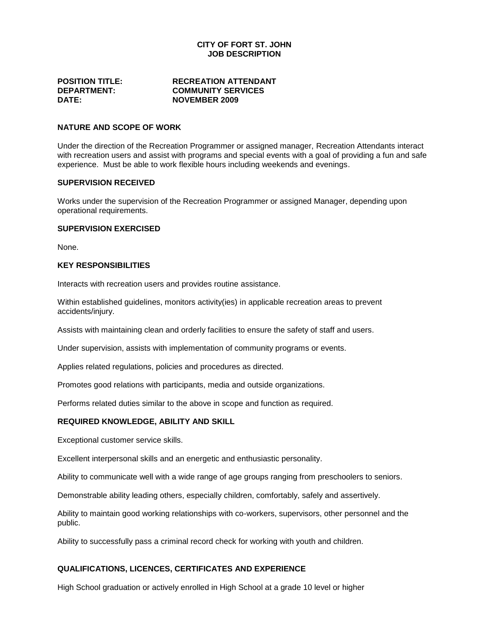## **CITY OF FORT ST. JOHN JOB DESCRIPTION**

| <b>POSITION TITLE:</b> |  |
|------------------------|--|
| <b>DEPARTMENT:</b>     |  |
| <b>DATE:</b>           |  |

#### **RECREATION ATTENDANT COMMUNITY SERVICES DATE: NOVEMBER 2009**

# **NATURE AND SCOPE OF WORK**

Under the direction of the Recreation Programmer or assigned manager, Recreation Attendants interact with recreation users and assist with programs and special events with a goal of providing a fun and safe experience. Must be able to work flexible hours including weekends and evenings.

#### **SUPERVISION RECEIVED**

Works under the supervision of the Recreation Programmer or assigned Manager, depending upon operational requirements.

## **SUPERVISION EXERCISED**

None.

### **KEY RESPONSIBILITIES**

Interacts with recreation users and provides routine assistance.

Within established guidelines, monitors activity(ies) in applicable recreation areas to prevent accidents/injury.

Assists with maintaining clean and orderly facilities to ensure the safety of staff and users.

Under supervision, assists with implementation of community programs or events.

Applies related regulations, policies and procedures as directed.

Promotes good relations with participants, media and outside organizations.

Performs related duties similar to the above in scope and function as required.

# **REQUIRED KNOWLEDGE, ABILITY AND SKILL**

Exceptional customer service skills.

Excellent interpersonal skills and an energetic and enthusiastic personality.

Ability to communicate well with a wide range of age groups ranging from preschoolers to seniors.

Demonstrable ability leading others, especially children, comfortably, safely and assertively.

Ability to maintain good working relationships with co-workers, supervisors, other personnel and the public.

Ability to successfully pass a criminal record check for working with youth and children.

## **QUALIFICATIONS, LICENCES, CERTIFICATES AND EXPERIENCE**

High School graduation or actively enrolled in High School at a grade 10 level or higher